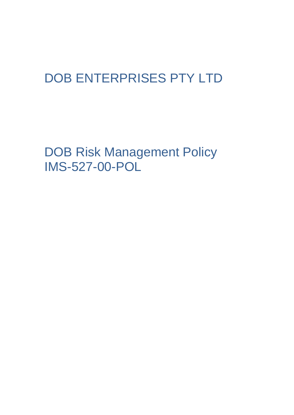# DOB ENTERPRISES PTY LTD

DOB Risk Management Policy IMS-527-00-POL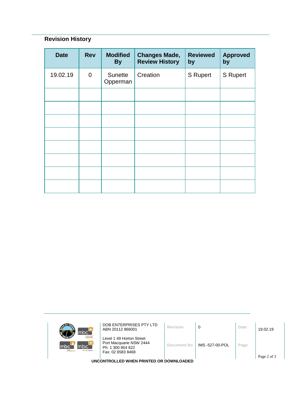## **Revision History**

| <b>Date</b> | <b>Rev</b>     | <b>Modified</b><br><b>By</b> | <b>Changes Made,</b><br><b>Review History</b> | <b>Reviewed</b><br>by | <b>Approved</b><br>by |
|-------------|----------------|------------------------------|-----------------------------------------------|-----------------------|-----------------------|
| 19.02.19    | $\overline{0}$ | Sunette<br>Opperman          | Creation                                      | <b>S</b> Rupert       | <b>S</b> Rupert       |
|             |                |                              |                                               |                       |                       |
|             |                |                              |                                               |                       |                       |
|             |                |                              |                                               |                       |                       |
|             |                |                              |                                               |                       |                       |
|             |                |                              |                                               |                       |                       |
|             |                |                              |                                               |                       |                       |
|             |                |                              |                                               |                       |                       |
|             |                |                              |                                               |                       |                       |

| mbc <sup>-</sup>                                                        | DOB ENTERPRISES PTY LTD<br>ABN 20112 866001                                                   | Revision    | 0               | Date | 19.02.19 |  |  |
|-------------------------------------------------------------------------|-----------------------------------------------------------------------------------------------|-------------|-----------------|------|----------|--|--|
| <b>Icloour hire</b><br>mbc`<br>Imbc<br>m <sub>k</sub><br>sursing agency | Level 1 49 Horton Street<br>Port Macquarie NSW 2444<br>Ph: 1 300 854 622<br>Fax: 02 6583 8468 | Document No | IMS -527-00-POL | Page |          |  |  |
| Page 2 of 3<br>UNCONTROLLED WHEN PRINTED OR DOWNLOADED                  |                                                                                               |             |                 |      |          |  |  |